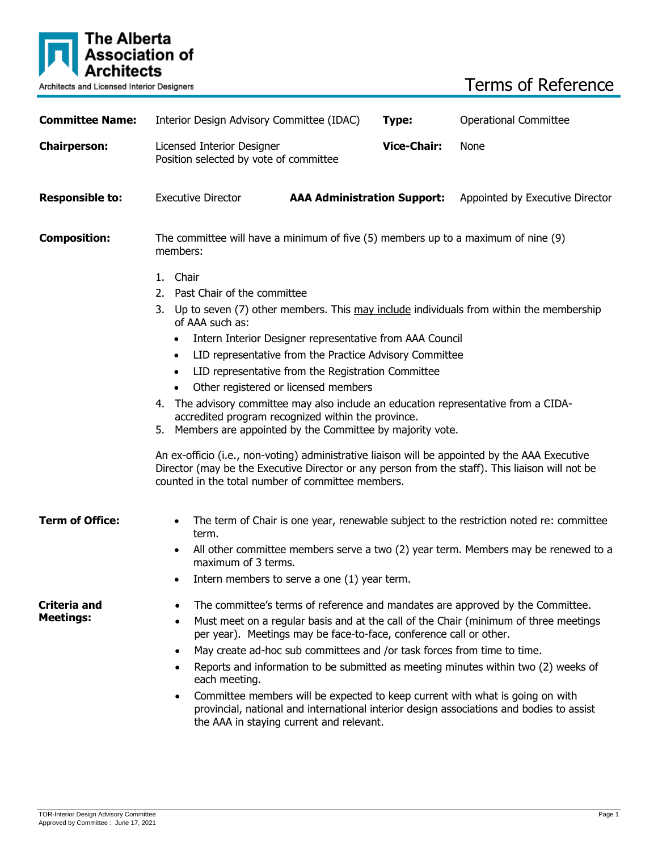

Terms of Reference

| <b>Committee Name:</b>           | Interior Design Advisory Committee (IDAC)                                                                                                                                                                                                                 |                                    | Type:              | <b>Operational Committee</b>    |  |
|----------------------------------|-----------------------------------------------------------------------------------------------------------------------------------------------------------------------------------------------------------------------------------------------------------|------------------------------------|--------------------|---------------------------------|--|
| <b>Chairperson:</b>              | Licensed Interior Designer<br>Position selected by vote of committee                                                                                                                                                                                      |                                    | <b>Vice-Chair:</b> | None                            |  |
| <b>Responsible to:</b>           | <b>Executive Director</b>                                                                                                                                                                                                                                 | <b>AAA Administration Support:</b> |                    | Appointed by Executive Director |  |
| <b>Composition:</b>              | The committee will have a minimum of five $(5)$ members up to a maximum of nine $(9)$<br>members:                                                                                                                                                         |                                    |                    |                                 |  |
|                                  | 1. Chair<br>2. Past Chair of the committee<br>3.<br>Up to seven (7) other members. This may include individuals from within the membership<br>of AAA such as:                                                                                             |                                    |                    |                                 |  |
|                                  | Intern Interior Designer representative from AAA Council<br>LID representative from the Practice Advisory Committee<br>$\bullet$<br>LID representative from the Registration Committee<br>$\bullet$<br>Other registered or licensed members<br>$\bullet$  |                                    |                    |                                 |  |
|                                  | The advisory committee may also include an education representative from a CIDA-<br>4.<br>accredited program recognized within the province.<br>5. Members are appointed by the Committee by majority vote.                                               |                                    |                    |                                 |  |
|                                  | An ex-officio (i.e., non-voting) administrative liaison will be appointed by the AAA Executive<br>Director (may be the Executive Director or any person from the staff). This liaison will not be<br>counted in the total number of committee members.    |                                    |                    |                                 |  |
| <b>Term of Office:</b>           | The term of Chair is one year, renewable subject to the restriction noted re: committee<br>٠<br>term.                                                                                                                                                     |                                    |                    |                                 |  |
|                                  | All other committee members serve a two (2) year term. Members may be renewed to a<br>$\bullet$<br>maximum of 3 terms.<br>Intern members to serve a one (1) year term.<br>٠                                                                               |                                    |                    |                                 |  |
| Criteria and<br><b>Meetings:</b> | The committee's terms of reference and mandates are approved by the Committee.<br>Must meet on a regular basis and at the call of the Chair (minimum of three meetings<br>$\bullet$<br>per year). Meetings may be face-to-face, conference call or other. |                                    |                    |                                 |  |
|                                  | May create ad-hoc sub committees and /or task forces from time to time.<br>$\bullet$<br>Reports and information to be submitted as meeting minutes within two (2) weeks of<br>$\bullet$<br>each meeting.                                                  |                                    |                    |                                 |  |
|                                  | Committee members will be expected to keep current with what is going on with<br>$\bullet$<br>provincial, national and international interior design associations and bodies to assist<br>the AAA in staying current and relevant.                        |                                    |                    |                                 |  |